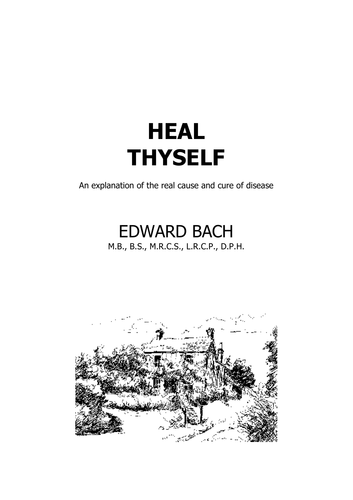# **HEAL THYSELF**

An explanation of the real cause and cure of disease

## EDWARD BACH M.B., B.S., M.R.C.S., L.R.C.P., D.P.H.

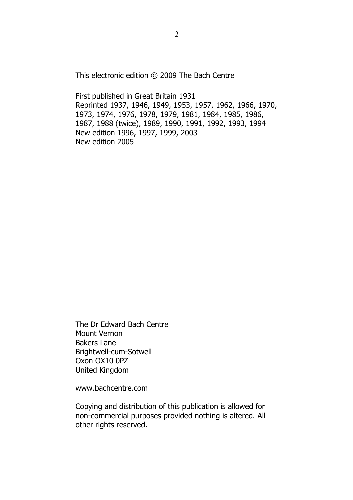This electronic edition © 2009 The Bach Centre

First published in Great Britain 1931 Reprinted 1937, 1946, 1949, 1953, 1957, 1962, 1966, 1970, 1973, 1974, 1976, 1978, 1979, 1981, 1984, 1985, 1986, 1987, 1988 (twice), 1989, 1990, 1991, 1992, 1993, 1994 New edition 1996, 1997, 1999, 2003 New edition 2005

The Dr Edward Bach Centre Mount Vernon Bakers Lane Brightwell-cum-Sotwell Oxon OX10 0PZ United Kingdom

www.bachcentre.com

Copying and distribution of this publication is allowed for non-commercial purposes provided nothing is altered. All other rights reserved.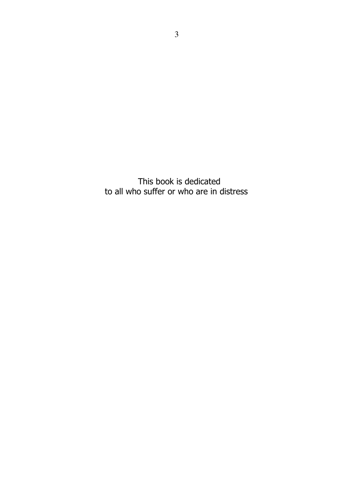This book is dedicated to all who suffer or who are in distress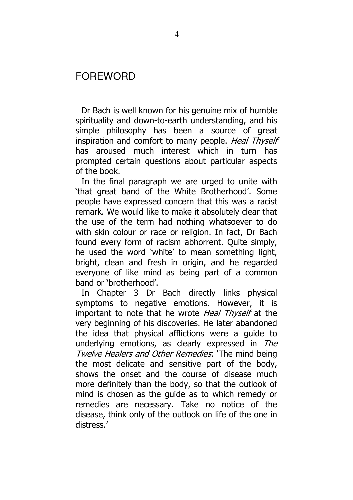#### FOREWORD

Dr Bach is well known for his genuine mix of humble spirituality and down-to-earth understanding, and his simple philosophy has been a source of great inspiration and comfort to many people. Heal Thyself has aroused much interest which in turn has prompted certain questions about particular aspects of the book.

In the final paragraph we are urged to unite with 'that great band of the White Brotherhood'. Some people have expressed concern that this was a racist remark. We would like to make it absolutely clear that the use of the term had nothing whatsoever to do with skin colour or race or religion. In fact, Dr Bach found every form of racism abhorrent. Quite simply, he used the word 'white' to mean something light, bright, clean and fresh in origin, and he regarded everyone of like mind as being part of a common band or 'brotherhood'.

In Chapter 3 Dr Bach directly links physical symptoms to negative emotions. However, it is important to note that he wrote *Heal Thyself* at the very beginning of his discoveries. He later abandoned the idea that physical afflictions were a guide to underlying emotions, as clearly expressed in The Twelve Healers and Other Remedies: 'The mind being the most delicate and sensitive part of the body, shows the onset and the course of disease much more definitely than the body, so that the outlook of mind is chosen as the guide as to which remedy or remedies are necessary. Take no notice of the disease, think only of the outlook on life of the one in distress.'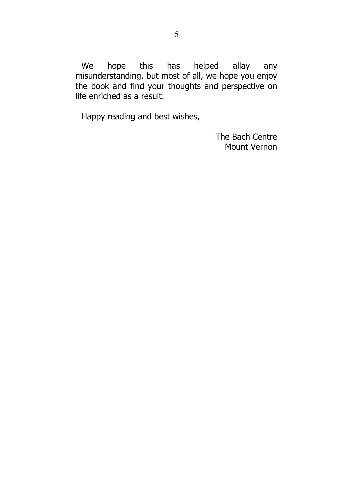We hope this has helped allay any misunderstanding, but most of all, we hope you enjoy the book and find your thoughts and perspective on life enriched as a result.

Happy reading and best wishes,

The Bach Centre Mount Vernon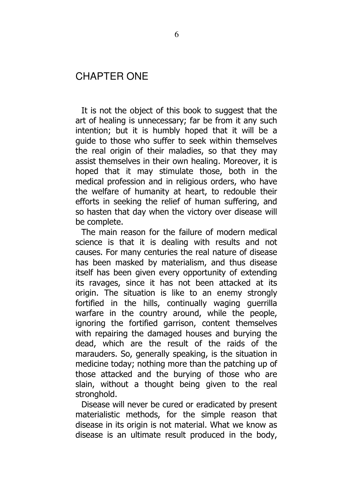#### CHAPTER ONE

It is not the object of this book to suggest that the art of healing is unnecessary; far be from it any such intention; but it is humbly hoped that it will be a guide to those who suffer to seek within themselves the real origin of their maladies, so that they may assist themselves in their own healing. Moreover, it is hoped that it may stimulate those, both in the medical profession and in religious orders, who have the welfare of humanity at heart, to redouble their efforts in seeking the relief of human suffering, and so hasten that day when the victory over disease will be complete.

The main reason for the failure of modern medical science is that it is dealing with results and not causes. For many centuries the real nature of disease has been masked by materialism, and thus disease itself has been given every opportunity of extending its ravages, since it has not been attacked at its origin. The situation is like to an enemy strongly fortified in the hills, continually waging guerrilla warfare in the country around, while the people, ignoring the fortified garrison, content themselves with repairing the damaged houses and burying the dead, which are the result of the raids of the marauders. So, generally speaking, is the situation in medicine today; nothing more than the patching up of those attacked and the burying of those who are slain, without a thought being given to the real stronghold.

Disease will never be cured or eradicated by present materialistic methods, for the simple reason that disease in its origin is not material. What we know as disease is an ultimate result produced in the body,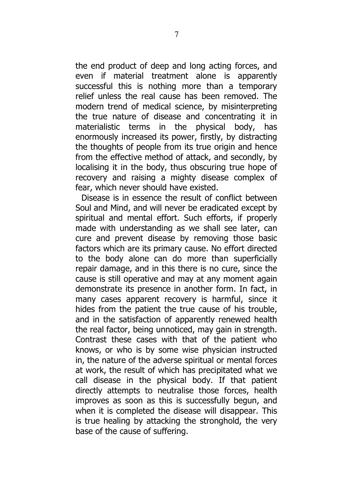the end product of deep and long acting forces, and even if material treatment alone is apparently successful this is nothing more than a temporary relief unless the real cause has been removed. The modern trend of medical science, by misinterpreting the true nature of disease and concentrating it in materialistic terms in the physical body, has enormously increased its power, firstly, by distracting the thoughts of people from its true origin and hence from the effective method of attack, and secondly, by localising it in the body, thus obscuring true hope of recovery and raising a mighty disease complex of fear, which never should have existed.

Disease is in essence the result of conflict between Soul and Mind, and will never be eradicated except by spiritual and mental effort. Such efforts, if properly made with understanding as we shall see later, can cure and prevent disease by removing those basic factors which are its primary cause. No effort directed to the body alone can do more than superficially repair damage, and in this there is no cure, since the cause is still operative and may at any moment again demonstrate its presence in another form. In fact, in many cases apparent recovery is harmful, since it hides from the patient the true cause of his trouble, and in the satisfaction of apparently renewed health the real factor, being unnoticed, may gain in strength. Contrast these cases with that of the patient who knows, or who is by some wise physician instructed in, the nature of the adverse spiritual or mental forces at work, the result of which has precipitated what we call disease in the physical body. If that patient directly attempts to neutralise those forces, health improves as soon as this is successfully begun, and when it is completed the disease will disappear. This is true healing by attacking the stronghold, the very base of the cause of suffering.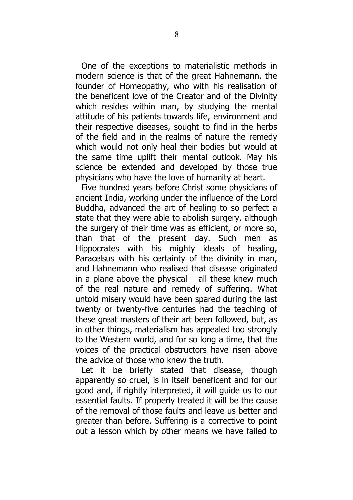One of the exceptions to materialistic methods in modern science is that of the great Hahnemann, the founder of Homeopathy, who with his realisation of the beneficent love of the Creator and of the Divinity which resides within man, by studying the mental attitude of his patients towards life, environment and their respective diseases, sought to find in the herbs of the field and in the realms of nature the remedy which would not only heal their bodies but would at the same time uplift their mental outlook. May his science be extended and developed by those true physicians who have the love of humanity at heart.

Five hundred years before Christ some physicians of ancient India, working under the influence of the Lord Buddha, advanced the art of healing to so perfect a state that they were able to abolish surgery, although the surgery of their time was as efficient, or more so, than that of the present day. Such men as Hippocrates with his mighty ideals of healing, Paracelsus with his certainty of the divinity in man, and Hahnemann who realised that disease originated in a plane above the physical  $-$  all these knew much of the real nature and remedy of suffering. What untold misery would have been spared during the last twenty or twenty-five centuries had the teaching of these great masters of their art been followed, but, as in other things, materialism has appealed too strongly to the Western world, and for so long a time, that the voices of the practical obstructors have risen above the advice of those who knew the truth.

Let it be briefly stated that disease, though apparently so cruel, is in itself beneficent and for our good and, if rightly interpreted, it will guide us to our essential faults. If properly treated it will be the cause of the removal of those faults and leave us better and greater than before. Suffering is a corrective to point out a lesson which by other means we have failed to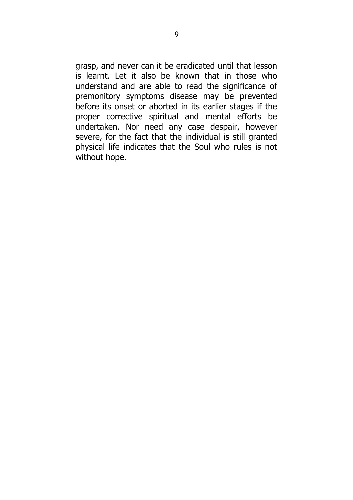grasp, and never can it be eradicated until that lesson is learnt. Let it also be known that in those who understand and are able to read the significance of premonitory symptoms disease may be prevented before its onset or aborted in its earlier stages if the proper corrective spiritual and mental efforts be undertaken. Nor need any case despair, however severe, for the fact that the individual is still granted physical life indicates that the Soul who rules is not without hope.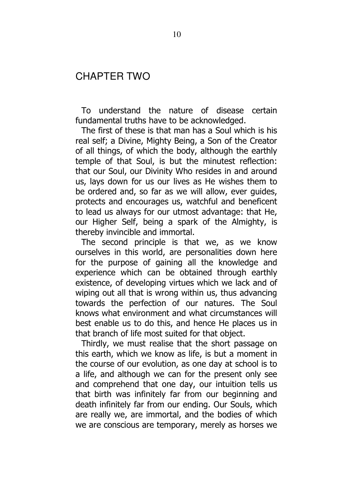#### CHAPTER TWO

To understand the nature of disease certain fundamental truths have to be acknowledged.

The first of these is that man has a Soul which is his real self; a Divine, Mighty Being, a Son of the Creator of all things, of which the body, although the earthly temple of that Soul, is but the minutest reflection: that our Soul, our Divinity Who resides in and around us, lays down for us our lives as He wishes them to be ordered and, so far as we will allow, ever guides, protects and encourages us, watchful and beneficent to lead us always for our utmost advantage: that He, our Higher Self, being a spark of the Almighty, is thereby invincible and immortal.

The second principle is that we, as we know ourselves in this world, are personalities down here for the purpose of gaining all the knowledge and experience which can be obtained through earthly existence, of developing virtues which we lack and of wiping out all that is wrong within us, thus advancing towards the perfection of our natures. The Soul knows what environment and what circumstances will best enable us to do this, and hence He places us in that branch of life most suited for that object.

Thirdly, we must realise that the short passage on this earth, which we know as life, is but a moment in the course of our evolution, as one day at school is to a life, and although we can for the present only see and comprehend that one day, our intuition tells us that birth was infinitely far from our beginning and death infinitely far from our ending. Our Souls, which are really we, are immortal, and the bodies of which we are conscious are temporary, merely as horses we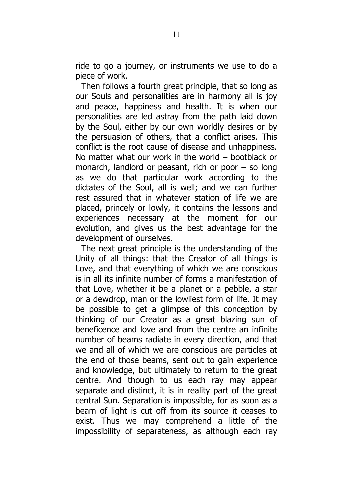ride to go a journey, or instruments we use to do a piece of work.

Then follows a fourth great principle, that so long as our Souls and personalities are in harmony all is joy and peace, happiness and health. It is when our personalities are led astray from the path laid down by the Soul, either by our own worldly desires or by the persuasion of others, that a conflict arises. This conflict is the root cause of disease and unhappiness. No matter what our work in the world – bootblack or monarch, landlord or peasant, rich or poor – so long as we do that particular work according to the dictates of the Soul, all is well; and we can further rest assured that in whatever station of life we are placed, princely or lowly, it contains the lessons and experiences necessary at the moment for our evolution, and gives us the best advantage for the development of ourselves.

The next great principle is the understanding of the Unity of all things: that the Creator of all things is Love, and that everything of which we are conscious is in all its infinite number of forms a manifestation of that Love, whether it be a planet or a pebble, a star or a dewdrop, man or the lowliest form of life. It may be possible to get a glimpse of this conception by thinking of our Creator as a great blazing sun of beneficence and love and from the centre an infinite number of beams radiate in every direction, and that we and all of which we are conscious are particles at the end of those beams, sent out to gain experience and knowledge, but ultimately to return to the great centre. And though to us each ray may appear separate and distinct, it is in reality part of the great central Sun. Separation is impossible, for as soon as a beam of light is cut off from its source it ceases to exist. Thus we may comprehend a little of the impossibility of separateness, as although each ray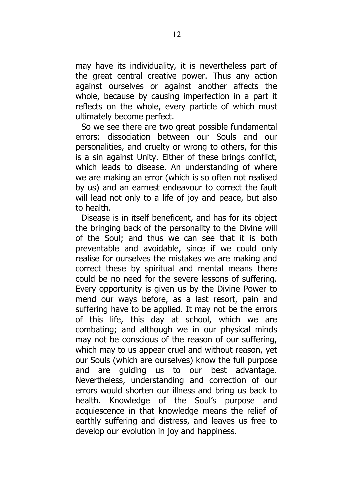may have its individuality, it is nevertheless part of the great central creative power. Thus any action against ourselves or against another affects the whole, because by causing imperfection in a part it reflects on the whole, every particle of which must ultimately become perfect.

So we see there are two great possible fundamental errors: dissociation between our Souls and our personalities, and cruelty or wrong to others, for this is a sin against Unity. Either of these brings conflict, which leads to disease. An understanding of where we are making an error (which is so often not realised by us) and an earnest endeavour to correct the fault will lead not only to a life of joy and peace, but also to health.

Disease is in itself beneficent, and has for its object the bringing back of the personality to the Divine will of the Soul; and thus we can see that it is both preventable and avoidable, since if we could only realise for ourselves the mistakes we are making and correct these by spiritual and mental means there could be no need for the severe lessons of suffering. Every opportunity is given us by the Divine Power to mend our ways before, as a last resort, pain and suffering have to be applied. It may not be the errors of this life, this day at school, which we are combating; and although we in our physical minds may not be conscious of the reason of our suffering, which may to us appear cruel and without reason, yet our Souls (which are ourselves) know the full purpose and are guiding us to our best advantage. Nevertheless, understanding and correction of our errors would shorten our illness and bring us back to health. Knowledge of the Soul's purpose and acquiescence in that knowledge means the relief of earthly suffering and distress, and leaves us free to develop our evolution in joy and happiness.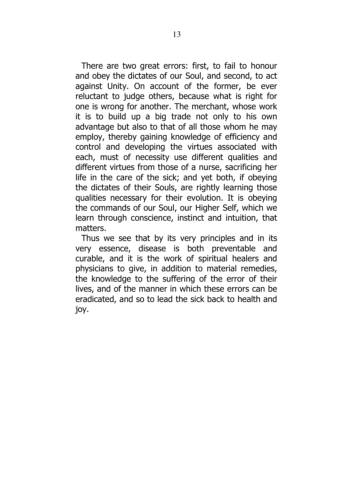There are two great errors: first, to fail to honour and obey the dictates of our Soul, and second, to act against Unity. On account of the former, be ever reluctant to judge others, because what is right for one is wrong for another. The merchant, whose work it is to build up a big trade not only to his own advantage but also to that of all those whom he may employ, thereby gaining knowledge of efficiency and control and developing the virtues associated with each, must of necessity use different qualities and different virtues from those of a nurse, sacrificing her life in the care of the sick; and yet both, if obeying the dictates of their Souls, are rightly learning those qualities necessary for their evolution. It is obeying the commands of our Soul, our Higher Self, which we learn through conscience, instinct and intuition, that matters.

Thus we see that by its very principles and in its very essence, disease is both preventable and curable, and it is the work of spiritual healers and physicians to give, in addition to material remedies, the knowledge to the suffering of the error of their lives, and of the manner in which these errors can be eradicated, and so to lead the sick back to health and joy.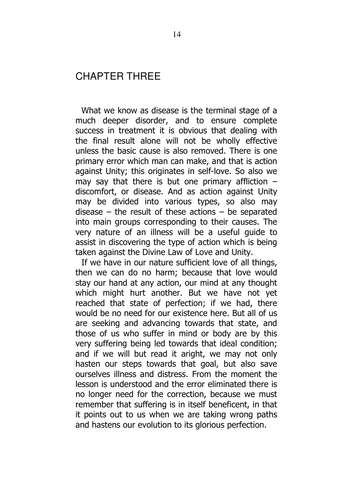#### CHAPTER THREE

What we know as disease is the terminal stage of a much deeper disorder, and to ensure complete success in treatment it is obvious that dealing with the final result alone will not be wholly effective unless the basic cause is also removed. There is one primary error which man can make, and that is action against Unity; this originates in self-love. So also we may say that there is but one primary affliction  $$ discomfort, or disease. And as action against Unity may be divided into various types, so also may disease  $-$  the result of these actions  $-$  be separated into main groups corresponding to their causes. The very nature of an illness will be a useful guide to assist in discovering the type of action which is being taken against the Divine Law of Love and Unity.

If we have in our nature sufficient love of all things, then we can do no harm; because that love would stay our hand at any action, our mind at any thought which might hurt another. But we have not yet reached that state of perfection; if we had, there would be no need for our existence here. But all of us are seeking and advancing towards that state, and those of us who suffer in mind or body are by this very suffering being led towards that ideal condition; and if we will but read it aright, we may not only hasten our steps towards that goal, but also save ourselves illness and distress. From the moment the lesson is understood and the error eliminated there is no longer need for the correction, because we must remember that suffering is in itself beneficent, in that it points out to us when we are taking wrong paths and hastens our evolution to its glorious perfection.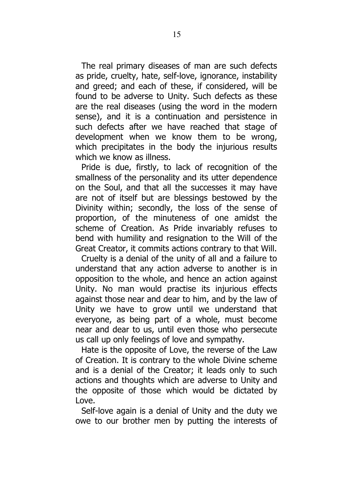The real primary diseases of man are such defects as pride, cruelty, hate, self-love, ignorance, instability and greed; and each of these, if considered, will be found to be adverse to Unity. Such defects as these are the real diseases (using the word in the modern sense), and it is a continuation and persistence in such defects after we have reached that stage of development when we know them to be wrong, which precipitates in the body the injurious results which we know as illness.

Pride is due, firstly, to lack of recognition of the smallness of the personality and its utter dependence on the Soul, and that all the successes it may have are not of itself but are blessings bestowed by the Divinity within; secondly, the loss of the sense of proportion, of the minuteness of one amidst the scheme of Creation. As Pride invariably refuses to bend with humility and resignation to the Will of the Great Creator, it commits actions contrary to that Will.

Cruelty is a denial of the unity of all and a failure to understand that any action adverse to another is in opposition to the whole, and hence an action against Unity. No man would practise its injurious effects against those near and dear to him, and by the law of Unity we have to grow until we understand that everyone, as being part of a whole, must become near and dear to us, until even those who persecute us call up only feelings of love and sympathy.

Hate is the opposite of Love, the reverse of the Law of Creation. It is contrary to the whole Divine scheme and is a denial of the Creator; it leads only to such actions and thoughts which are adverse to Unity and the opposite of those which would be dictated by Love.

Self-love again is a denial of Unity and the duty we owe to our brother men by putting the interests of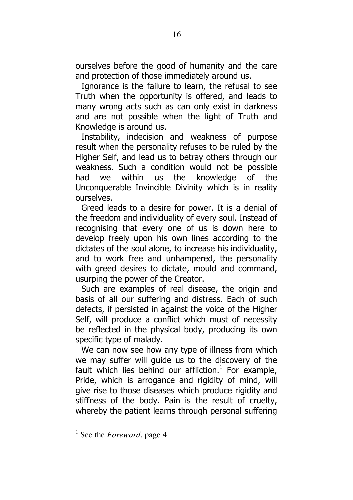ourselves before the good of humanity and the care and protection of those immediately around us.

Ignorance is the failure to learn, the refusal to see Truth when the opportunity is offered, and leads to many wrong acts such as can only exist in darkness and are not possible when the light of Truth and Knowledge is around us.

Instability, indecision and weakness of purpose result when the personality refuses to be ruled by the Higher Self, and lead us to betray others through our weakness. Such a condition would not be possible had we within us the knowledge of the Unconquerable Invincible Divinity which is in reality ourselves.

Greed leads to a desire for power. It is a denial of the freedom and individuality of every soul. Instead of recognising that every one of us is down here to develop freely upon his own lines according to the dictates of the soul alone, to increase his individuality, and to work free and unhampered, the personality with greed desires to dictate, mould and command, usurping the power of the Creator.

Such are examples of real disease, the origin and basis of all our suffering and distress. Each of such defects, if persisted in against the voice of the Higher Self, will produce a conflict which must of necessity be reflected in the physical body, producing its own specific type of malady.

We can now see how any type of illness from which we may suffer will guide us to the discovery of the fault which lies behind our affliction. $1$  For example, Pride, which is arrogance and rigidity of mind, will give rise to those diseases which produce rigidity and stiffness of the body. Pain is the result of cruelty, whereby the patient learns through personal suffering

<sup>&</sup>lt;sup>1</sup> See the *Foreword*, page 4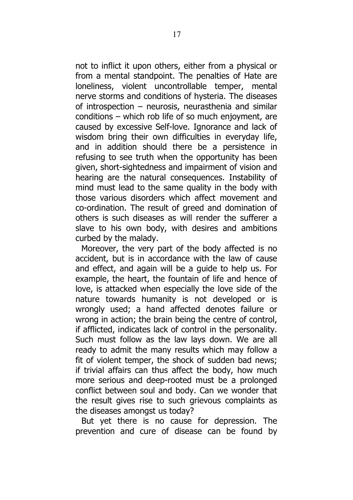not to inflict it upon others, either from a physical or from a mental standpoint. The penalties of Hate are loneliness, violent uncontrollable temper, mental nerve storms and conditions of hysteria. The diseases of introspection – neurosis, neurasthenia and similar conditions – which rob life of so much enjoyment, are caused by excessive Self-love. Ignorance and lack of wisdom bring their own difficulties in everyday life, and in addition should there be a persistence in refusing to see truth when the opportunity has been given, short-sightedness and impairment of vision and hearing are the natural consequences. Instability of mind must lead to the same quality in the body with those various disorders which affect movement and co-ordination. The result of greed and domination of others is such diseases as will render the sufferer a slave to his own body, with desires and ambitions curbed by the malady.

Moreover, the very part of the body affected is no accident, but is in accordance with the law of cause and effect, and again will be a guide to help us. For example, the heart, the fountain of life and hence of love, is attacked when especially the love side of the nature towards humanity is not developed or is wrongly used; a hand affected denotes failure or wrong in action; the brain being the centre of control, if afflicted, indicates lack of control in the personality. Such must follow as the law lays down. We are all ready to admit the many results which may follow a fit of violent temper, the shock of sudden bad news; if trivial affairs can thus affect the body, how much more serious and deep-rooted must be a prolonged conflict between soul and body. Can we wonder that the result gives rise to such grievous complaints as the diseases amongst us today?

But yet there is no cause for depression. The prevention and cure of disease can be found by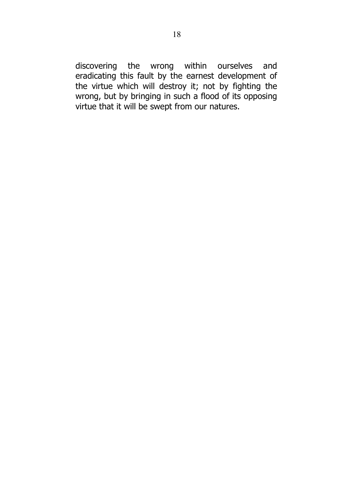discovering the wrong within ourselves and eradicating this fault by the earnest development of the virtue which will destroy it; not by fighting the wrong, but by bringing in such a flood of its opposing virtue that it will be swept from our natures.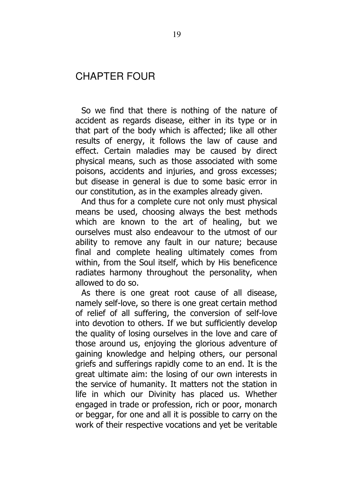#### CHAPTER FOUR

So we find that there is nothing of the nature of accident as regards disease, either in its type or in that part of the body which is affected; like all other results of energy, it follows the law of cause and effect. Certain maladies may be caused by direct physical means, such as those associated with some poisons, accidents and injuries, and gross excesses; but disease in general is due to some basic error in our constitution, as in the examples already given.

And thus for a complete cure not only must physical means be used, choosing always the best methods which are known to the art of healing, but we ourselves must also endeavour to the utmost of our ability to remove any fault in our nature; because final and complete healing ultimately comes from within, from the Soul itself, which by His beneficence radiates harmony throughout the personality, when allowed to do so.

As there is one great root cause of all disease, namely self-love, so there is one great certain method of relief of all suffering, the conversion of self-love into devotion to others. If we but sufficiently develop the quality of losing ourselves in the love and care of those around us, enjoying the glorious adventure of gaining knowledge and helping others, our personal griefs and sufferings rapidly come to an end. It is the great ultimate aim: the losing of our own interests in the service of humanity. It matters not the station in life in which our Divinity has placed us. Whether engaged in trade or profession, rich or poor, monarch or beggar, for one and all it is possible to carry on the work of their respective vocations and yet be veritable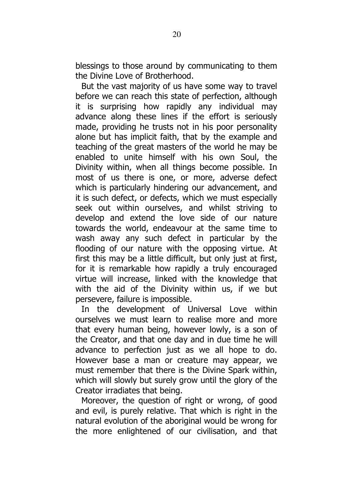blessings to those around by communicating to them the Divine Love of Brotherhood.

But the vast majority of us have some way to travel before we can reach this state of perfection, although it is surprising how rapidly any individual may advance along these lines if the effort is seriously made, providing he trusts not in his poor personality alone but has implicit faith, that by the example and teaching of the great masters of the world he may be enabled to unite himself with his own Soul, the Divinity within, when all things become possible. In most of us there is one, or more, adverse defect which is particularly hindering our advancement, and it is such defect, or defects, which we must especially seek out within ourselves, and whilst striving to develop and extend the love side of our nature towards the world, endeavour at the same time to wash away any such defect in particular by the flooding of our nature with the opposing virtue. At first this may be a little difficult, but only just at first, for it is remarkable how rapidly a truly encouraged virtue will increase, linked with the knowledge that with the aid of the Divinity within us, if we but persevere, failure is impossible.

In the development of Universal Love within ourselves we must learn to realise more and more that every human being, however lowly, is a son of the Creator, and that one day and in due time he will advance to perfection just as we all hope to do. However base a man or creature may appear, we must remember that there is the Divine Spark within, which will slowly but surely grow until the glory of the Creator irradiates that being.

Moreover, the question of right or wrong, of good and evil, is purely relative. That which is right in the natural evolution of the aboriginal would be wrong for the more enlightened of our civilisation, and that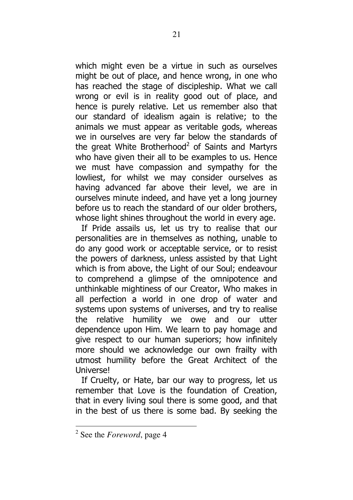which might even be a virtue in such as ourselves might be out of place, and hence wrong, in one who has reached the stage of discipleship. What we call wrong or evil is in reality good out of place, and hence is purely relative. Let us remember also that our standard of idealism again is relative; to the animals we must appear as veritable gods, whereas we in ourselves are very far below the standards of the great White Brotherhood<sup>2</sup> of Saints and Martyrs who have given their all to be examples to us. Hence we must have compassion and sympathy for the lowliest, for whilst we may consider ourselves as having advanced far above their level, we are in ourselves minute indeed, and have yet a long journey before us to reach the standard of our older brothers, whose light shines throughout the world in every age.

If Pride assails us, let us try to realise that our personalities are in themselves as nothing, unable to do any good work or acceptable service, or to resist the powers of darkness, unless assisted by that Light which is from above, the Light of our Soul; endeavour to comprehend a glimpse of the omnipotence and unthinkable mightiness of our Creator, Who makes in all perfection a world in one drop of water and systems upon systems of universes, and try to realise the relative humility we owe and our utter dependence upon Him. We learn to pay homage and give respect to our human superiors; how infinitely more should we acknowledge our own frailty with utmost humility before the Great Architect of the Universe!

If Cruelty, or Hate, bar our way to progress, let us remember that Love is the foundation of Creation, that in every living soul there is some good, and that in the best of us there is some bad. By seeking the

 2 See the *Foreword*, page 4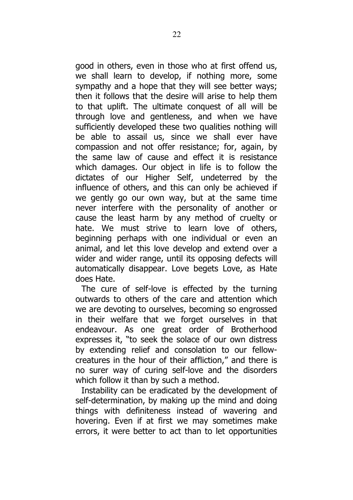good in others, even in those who at first offend us, we shall learn to develop, if nothing more, some sympathy and a hope that they will see better ways; then it follows that the desire will arise to help them to that uplift. The ultimate conquest of all will be through love and gentleness, and when we have sufficiently developed these two qualities nothing will be able to assail us, since we shall ever have compassion and not offer resistance; for, again, by the same law of cause and effect it is resistance which damages. Our object in life is to follow the dictates of our Higher Self, undeterred by the influence of others, and this can only be achieved if we gently go our own way, but at the same time never interfere with the personality of another or cause the least harm by any method of cruelty or hate. We must strive to learn love of others, beginning perhaps with one individual or even an animal, and let this love develop and extend over a wider and wider range, until its opposing defects will automatically disappear. Love begets Love, as Hate does Hate.

The cure of self-love is effected by the turning outwards to others of the care and attention which we are devoting to ourselves, becoming so engrossed in their welfare that we forget ourselves in that endeavour. As one great order of Brotherhood expresses it, "to seek the solace of our own distress by extending relief and consolation to our fellowcreatures in the hour of their affliction," and there is no surer way of curing self-love and the disorders which follow it than by such a method.

Instability can be eradicated by the development of self-determination, by making up the mind and doing things with definiteness instead of wavering and hovering. Even if at first we may sometimes make errors, it were better to act than to let opportunities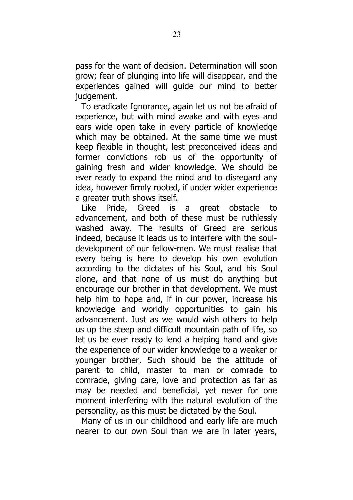pass for the want of decision. Determination will soon grow; fear of plunging into life will disappear, and the experiences gained will guide our mind to better judgement.

To eradicate Ignorance, again let us not be afraid of experience, but with mind awake and with eyes and ears wide open take in every particle of knowledge which may be obtained. At the same time we must keep flexible in thought, lest preconceived ideas and former convictions rob us of the opportunity of gaining fresh and wider knowledge. We should be ever ready to expand the mind and to disregard any idea, however firmly rooted, if under wider experience a greater truth shows itself.

Like Pride, Greed is a great obstacle to advancement, and both of these must be ruthlessly washed away. The results of Greed are serious indeed, because it leads us to interfere with the souldevelopment of our fellow-men. We must realise that every being is here to develop his own evolution according to the dictates of his Soul, and his Soul alone, and that none of us must do anything but encourage our brother in that development. We must help him to hope and, if in our power, increase his knowledge and worldly opportunities to gain his advancement. Just as we would wish others to help us up the steep and difficult mountain path of life, so let us be ever ready to lend a helping hand and give the experience of our wider knowledge to a weaker or younger brother. Such should be the attitude of parent to child, master to man or comrade to comrade, giving care, love and protection as far as may be needed and beneficial, yet never for one moment interfering with the natural evolution of the personality, as this must be dictated by the Soul.

Many of us in our childhood and early life are much nearer to our own Soul than we are in later years,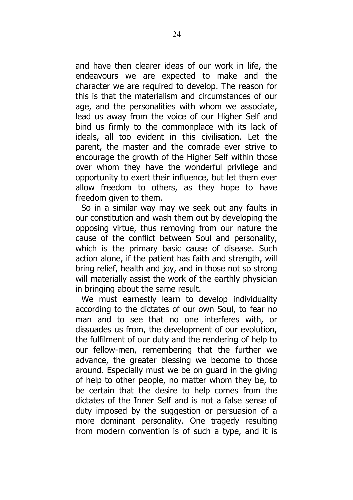and have then clearer ideas of our work in life, the endeavours we are expected to make and the character we are required to develop. The reason for this is that the materialism and circumstances of our age, and the personalities with whom we associate, lead us away from the voice of our Higher Self and bind us firmly to the commonplace with its lack of ideals, all too evident in this civilisation. Let the parent, the master and the comrade ever strive to encourage the growth of the Higher Self within those over whom they have the wonderful privilege and opportunity to exert their influence, but let them ever allow freedom to others, as they hope to have freedom given to them.

So in a similar way may we seek out any faults in our constitution and wash them out by developing the opposing virtue, thus removing from our nature the cause of the conflict between Soul and personality, which is the primary basic cause of disease. Such action alone, if the patient has faith and strength, will bring relief, health and joy, and in those not so strong will materially assist the work of the earthly physician in bringing about the same result.

We must earnestly learn to develop individuality according to the dictates of our own Soul, to fear no man and to see that no one interferes with, or dissuades us from, the development of our evolution, the fulfilment of our duty and the rendering of help to our fellow-men, remembering that the further we advance, the greater blessing we become to those around. Especially must we be on guard in the giving of help to other people, no matter whom they be, to be certain that the desire to help comes from the dictates of the Inner Self and is not a false sense of duty imposed by the suggestion or persuasion of a more dominant personality. One tragedy resulting from modern convention is of such a type, and it is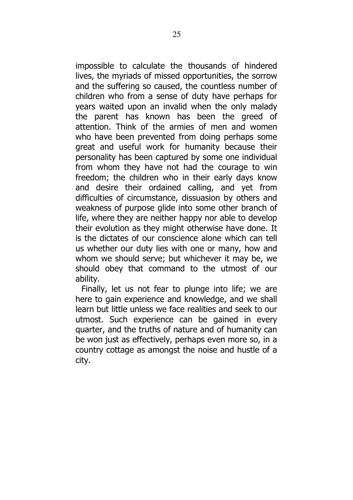impossible to calculate the thousands of hindered lives, the myriads of missed opportunities, the sorrow and the suffering so caused, the countless number of children who from a sense of duty have perhaps for years waited upon an invalid when the only malady the parent has known has been the greed of attention. Think of the armies of men and women who have been prevented from doing perhaps some great and useful work for humanity because their personality has been captured by some one individual from whom they have not had the courage to win freedom; the children who in their early days know and desire their ordained calling, and yet from difficulties of circumstance, dissuasion by others and weakness of purpose glide into some other branch of life, where they are neither happy nor able to develop their evolution as they might otherwise have done. It is the dictates of our conscience alone which can tell us whether our duty lies with one or many, how and whom we should serve; but whichever it may be, we should obey that command to the utmost of our ability.

Finally, let us not fear to plunge into life; we are here to gain experience and knowledge, and we shall learn but little unless we face realities and seek to our utmost. Such experience can be gained in every quarter, and the truths of nature and of humanity can be won just as effectively, perhaps even more so, in a country cottage as amongst the noise and hustle of a city.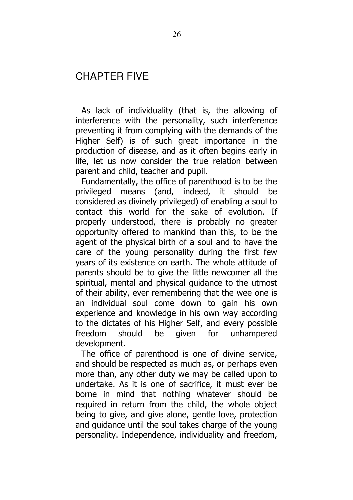#### CHAPTER FIVE

As lack of individuality (that is, the allowing of interference with the personality, such interference preventing it from complying with the demands of the Higher Self) is of such great importance in the production of disease, and as it often begins early in life, let us now consider the true relation between parent and child, teacher and pupil.

Fundamentally, the office of parenthood is to be the privileged means (and, indeed, it should be considered as divinely privileged) of enabling a soul to contact this world for the sake of evolution. If properly understood, there is probably no greater opportunity offered to mankind than this, to be the agent of the physical birth of a soul and to have the care of the young personality during the first few years of its existence on earth. The whole attitude of parents should be to give the little newcomer all the spiritual, mental and physical guidance to the utmost of their ability, ever remembering that the wee one is an individual soul come down to gain his own experience and knowledge in his own way according to the dictates of his Higher Self, and every possible freedom should be given for unhampered development.

The office of parenthood is one of divine service, and should be respected as much as, or perhaps even more than, any other duty we may be called upon to undertake. As it is one of sacrifice, it must ever be borne in mind that nothing whatever should be required in return from the child, the whole object being to give, and give alone, gentle love, protection and guidance until the soul takes charge of the young personality. Independence, individuality and freedom,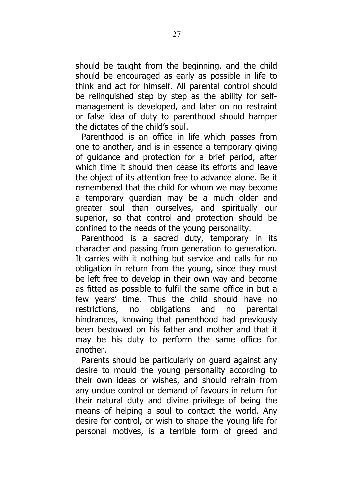should be taught from the beginning, and the child should be encouraged as early as possible in life to think and act for himself. All parental control should be relinquished step by step as the ability for selfmanagement is developed, and later on no restraint or false idea of duty to parenthood should hamper the dictates of the child's soul.

Parenthood is an office in life which passes from one to another, and is in essence a temporary giving of guidance and protection for a brief period, after which time it should then cease its efforts and leave the object of its attention free to advance alone. Be it remembered that the child for whom we may become a temporary guardian may be a much older and greater soul than ourselves, and spiritually our superior, so that control and protection should be confined to the needs of the young personality.

Parenthood is a sacred duty, temporary in its character and passing from generation to generation. It carries with it nothing but service and calls for no obligation in return from the young, since they must be left free to develop in their own way and become as fitted as possible to fulfil the same office in but a few years' time. Thus the child should have no restrictions, no obligations and no parental hindrances, knowing that parenthood had previously been bestowed on his father and mother and that it may be his duty to perform the same office for another.

Parents should be particularly on guard against any desire to mould the young personality according to their own ideas or wishes, and should refrain from any undue control or demand of favours in return for their natural duty and divine privilege of being the means of helping a soul to contact the world. Any desire for control, or wish to shape the young life for personal motives, is a terrible form of greed and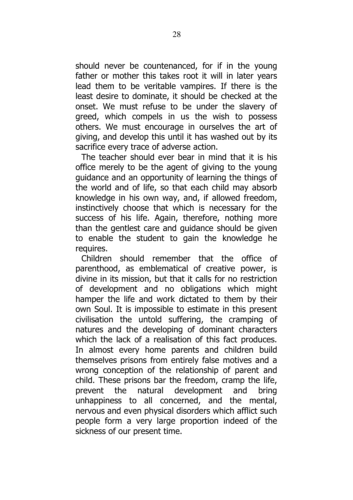should never be countenanced, for if in the young father or mother this takes root it will in later years lead them to be veritable vampires. If there is the least desire to dominate, it should be checked at the onset. We must refuse to be under the slavery of greed, which compels in us the wish to possess others. We must encourage in ourselves the art of giving, and develop this until it has washed out by its sacrifice every trace of adverse action.

The teacher should ever bear in mind that it is his office merely to be the agent of giving to the young guidance and an opportunity of learning the things of the world and of life, so that each child may absorb knowledge in his own way, and, if allowed freedom, instinctively choose that which is necessary for the success of his life. Again, therefore, nothing more than the gentlest care and guidance should be given to enable the student to gain the knowledge he requires.

Children should remember that the office of parenthood, as emblematical of creative power, is divine in its mission, but that it calls for no restriction of development and no obligations which might hamper the life and work dictated to them by their own Soul. It is impossible to estimate in this present civilisation the untold suffering, the cramping of natures and the developing of dominant characters which the lack of a realisation of this fact produces. In almost every home parents and children build themselves prisons from entirely false motives and a wrong conception of the relationship of parent and child. These prisons bar the freedom, cramp the life, prevent the natural development and bring unhappiness to all concerned, and the mental, nervous and even physical disorders which afflict such people form a very large proportion indeed of the sickness of our present time.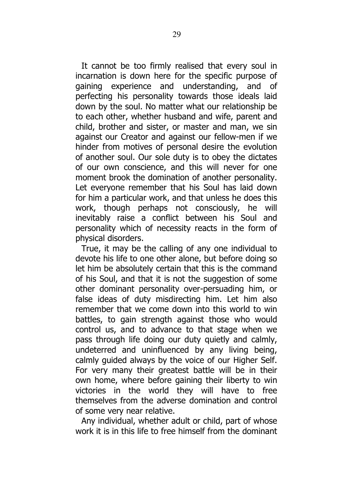It cannot be too firmly realised that every soul in incarnation is down here for the specific purpose of gaining experience and understanding, and of perfecting his personality towards those ideals laid down by the soul. No matter what our relationship be to each other, whether husband and wife, parent and child, brother and sister, or master and man, we sin against our Creator and against our fellow-men if we hinder from motives of personal desire the evolution of another soul. Our sole duty is to obey the dictates of our own conscience, and this will never for one moment brook the domination of another personality. Let everyone remember that his Soul has laid down for him a particular work, and that unless he does this work, though perhaps not consciously, he will inevitably raise a conflict between his Soul and personality which of necessity reacts in the form of physical disorders.

True, it may be the calling of any one individual to devote his life to one other alone, but before doing so let him be absolutely certain that this is the command of his Soul, and that it is not the suggestion of some other dominant personality over-persuading him, or false ideas of duty misdirecting him. Let him also remember that we come down into this world to win battles, to gain strength against those who would control us, and to advance to that stage when we pass through life doing our duty quietly and calmly, undeterred and uninfluenced by any living being, calmly guided always by the voice of our Higher Self. For very many their greatest battle will be in their own home, where before gaining their liberty to win victories in the world they will have to free themselves from the adverse domination and control of some very near relative.

Any individual, whether adult or child, part of whose work it is in this life to free himself from the dominant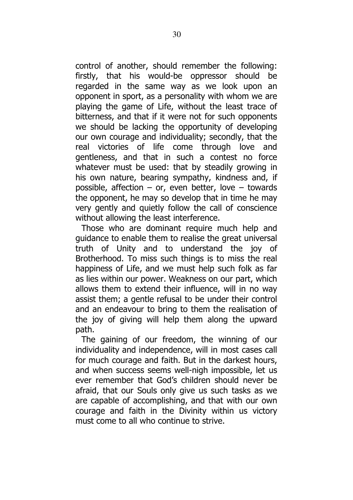control of another, should remember the following: firstly, that his would-be oppressor should be regarded in the same way as we look upon an opponent in sport, as a personality with whom we are playing the game of Life, without the least trace of bitterness, and that if it were not for such opponents we should be lacking the opportunity of developing our own courage and individuality; secondly, that the real victories of life come through love and gentleness, and that in such a contest no force whatever must be used: that by steadily growing in his own nature, bearing sympathy, kindness and, if possible, affection – or, even better, love – towards the opponent, he may so develop that in time he may very gently and quietly follow the call of conscience without allowing the least interference.

Those who are dominant require much help and guidance to enable them to realise the great universal truth of Unity and to understand the joy of Brotherhood. To miss such things is to miss the real happiness of Life, and we must help such folk as far as lies within our power. Weakness on our part, which allows them to extend their influence, will in no way assist them; a gentle refusal to be under their control and an endeavour to bring to them the realisation of the joy of giving will help them along the upward path.

The gaining of our freedom, the winning of our individuality and independence, will in most cases call for much courage and faith. But in the darkest hours, and when success seems well-nigh impossible, let us ever remember that God's children should never be afraid, that our Souls only give us such tasks as we are capable of accomplishing, and that with our own courage and faith in the Divinity within us victory must come to all who continue to strive.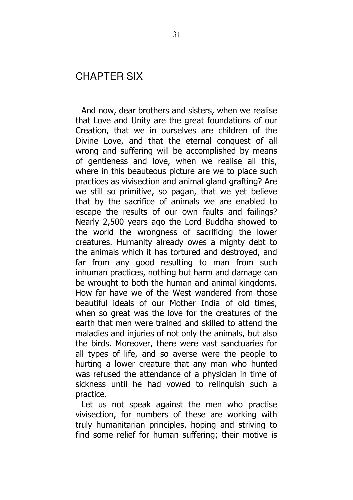#### CHAPTER SIX

And now, dear brothers and sisters, when we realise that Love and Unity are the great foundations of our Creation, that we in ourselves are children of the Divine Love, and that the eternal conquest of all wrong and suffering will be accomplished by means of gentleness and love, when we realise all this, where in this beauteous picture are we to place such practices as vivisection and animal gland grafting? Are we still so primitive, so pagan, that we yet believe that by the sacrifice of animals we are enabled to escape the results of our own faults and failings? Nearly 2,500 years ago the Lord Buddha showed to the world the wrongness of sacrificing the lower creatures. Humanity already owes a mighty debt to the animals which it has tortured and destroyed, and far from any good resulting to man from such inhuman practices, nothing but harm and damage can be wrought to both the human and animal kingdoms. How far have we of the West wandered from those beautiful ideals of our Mother India of old times, when so great was the love for the creatures of the earth that men were trained and skilled to attend the maladies and injuries of not only the animals, but also the birds. Moreover, there were vast sanctuaries for all types of life, and so averse were the people to hurting a lower creature that any man who hunted was refused the attendance of a physician in time of sickness until he had vowed to relinquish such a practice.

Let us not speak against the men who practise vivisection, for numbers of these are working with truly humanitarian principles, hoping and striving to find some relief for human suffering; their motive is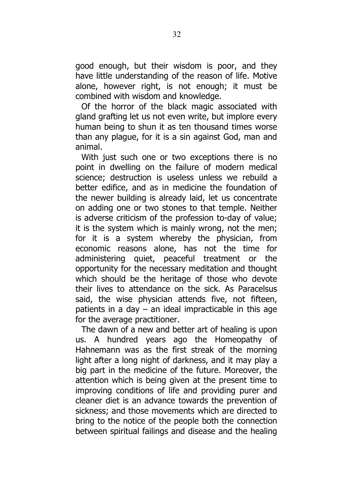good enough, but their wisdom is poor, and they have little understanding of the reason of life. Motive alone, however right, is not enough; it must be combined with wisdom and knowledge.

Of the horror of the black magic associated with gland grafting let us not even write, but implore every human being to shun it as ten thousand times worse than any plague, for it is a sin against God, man and animal.

With just such one or two exceptions there is no point in dwelling on the failure of modern medical science; destruction is useless unless we rebuild a better edifice, and as in medicine the foundation of the newer building is already laid, let us concentrate on adding one or two stones to that temple. Neither is adverse criticism of the profession to-day of value; it is the system which is mainly wrong, not the men; for it is a system whereby the physician, from economic reasons alone, has not the time for administering quiet, peaceful treatment or the opportunity for the necessary meditation and thought which should be the heritage of those who devote their lives to attendance on the sick. As Paracelsus said, the wise physician attends five, not fifteen, patients in a day  $-$  an ideal impracticable in this age for the average practitioner.

The dawn of a new and better art of healing is upon us. A hundred years ago the Homeopathy of Hahnemann was as the first streak of the morning light after a long night of darkness, and it may play a big part in the medicine of the future. Moreover, the attention which is being given at the present time to improving conditions of life and providing purer and cleaner diet is an advance towards the prevention of sickness; and those movements which are directed to bring to the notice of the people both the connection between spiritual failings and disease and the healing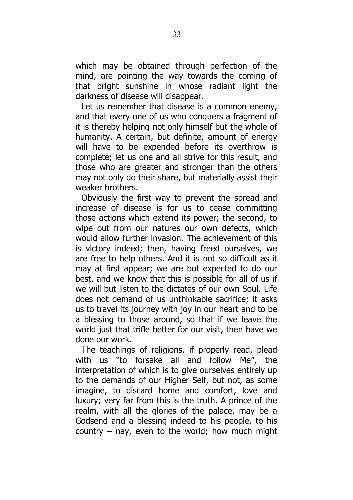which may be obtained through perfection of the mind, are pointing the way towards the coming of that bright sunshine in whose radiant light the darkness of disease will disappear.

Let us remember that disease is a common enemy, and that every one of us who conquers a fragment of it is thereby helping not only himself but the whole of humanity. A certain, but definite, amount of energy will have to be expended before its overthrow is complete; let us one and all strive for this result, and those who are greater and stronger than the others may not only do their share, but materially assist their weaker brothers.

Obviously the first way to prevent the spread and increase of disease is for us to cease committing those actions which extend its power; the second, to wipe out from our natures our own defects, which would allow further invasion. The achievement of this is victory indeed; then, having freed ourselves, we are free to help others. And it is not so difficult as it may at first appear; we are but expected to do our best, and we know that this is possible for all of us if we will but listen to the dictates of our own Soul. Life does not demand of us unthinkable sacrifice; it asks us to travel its journey with joy in our heart and to be a blessing to those around, so that if we leave the world just that trifle better for our visit, then have we done our work.

The teachings of religions, if properly read, plead with us "to forsake all and follow Me", the interpretation of which is to give ourselves entirely up to the demands of our Higher Self, but not, as some imagine, to discard home and comfort, love and luxury; very far from this is the truth. A prince of the realm, with all the glories of the palace, may be a Godsend and a blessing indeed to his people, to his country  $-$  nay, even to the world; how much might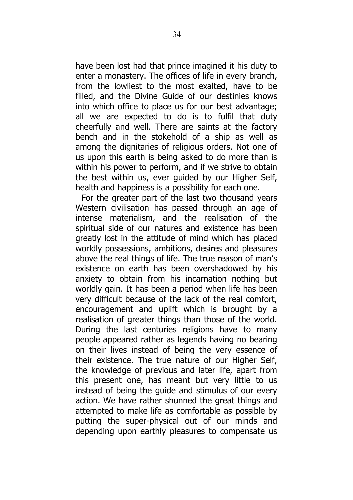have been lost had that prince imagined it his duty to enter a monastery. The offices of life in every branch, from the lowliest to the most exalted, have to be filled, and the Divine Guide of our destinies knows into which office to place us for our best advantage; all we are expected to do is to fulfil that duty cheerfully and well. There are saints at the factory bench and in the stokehold of a ship as well as among the dignitaries of religious orders. Not one of us upon this earth is being asked to do more than is within his power to perform, and if we strive to obtain the best within us, ever guided by our Higher Self, health and happiness is a possibility for each one.

For the greater part of the last two thousand years Western civilisation has passed through an age of intense materialism, and the realisation of the spiritual side of our natures and existence has been greatly lost in the attitude of mind which has placed worldly possessions, ambitions, desires and pleasures above the real things of life. The true reason of man's existence on earth has been overshadowed by his anxiety to obtain from his incarnation nothing but worldly gain. It has been a period when life has been very difficult because of the lack of the real comfort, encouragement and uplift which is brought by a realisation of greater things than those of the world. During the last centuries religions have to many people appeared rather as legends having no bearing on their lives instead of being the very essence of their existence. The true nature of our Higher Self, the knowledge of previous and later life, apart from this present one, has meant but very little to us instead of being the guide and stimulus of our every action. We have rather shunned the great things and attempted to make life as comfortable as possible by putting the super-physical out of our minds and depending upon earthly pleasures to compensate us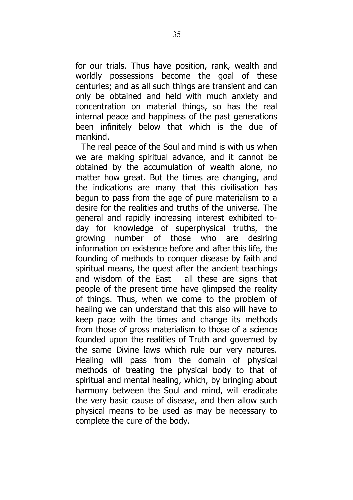for our trials. Thus have position, rank, wealth and worldly possessions become the goal of these centuries; and as all such things are transient and can only be obtained and held with much anxiety and concentration on material things, so has the real internal peace and happiness of the past generations been infinitely below that which is the due of mankind.

The real peace of the Soul and mind is with us when we are making spiritual advance, and it cannot be obtained by the accumulation of wealth alone, no matter how great. But the times are changing, and the indications are many that this civilisation has begun to pass from the age of pure materialism to a desire for the realities and truths of the universe. The general and rapidly increasing interest exhibited today for knowledge of superphysical truths, the growing number of those who are desiring information on existence before and after this life, the founding of methods to conquer disease by faith and spiritual means, the quest after the ancient teachings and wisdom of the East  $-$  all these are signs that people of the present time have glimpsed the reality of things. Thus, when we come to the problem of healing we can understand that this also will have to keep pace with the times and change its methods from those of gross materialism to those of a science founded upon the realities of Truth and governed by the same Divine laws which rule our very natures. Healing will pass from the domain of physical methods of treating the physical body to that of spiritual and mental healing, which, by bringing about harmony between the Soul and mind, will eradicate the very basic cause of disease, and then allow such physical means to be used as may be necessary to complete the cure of the body.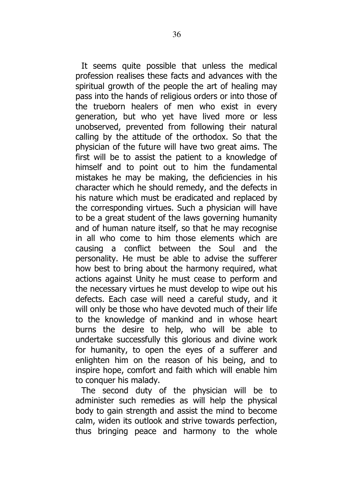It seems quite possible that unless the medical profession realises these facts and advances with the spiritual growth of the people the art of healing may pass into the hands of religious orders or into those of the trueborn healers of men who exist in every generation, but who yet have lived more or less unobserved, prevented from following their natural calling by the attitude of the orthodox. So that the physician of the future will have two great aims. The first will be to assist the patient to a knowledge of himself and to point out to him the fundamental mistakes he may be making, the deficiencies in his character which he should remedy, and the defects in his nature which must be eradicated and replaced by the corresponding virtues. Such a physician will have to be a great student of the laws governing humanity and of human nature itself, so that he may recognise in all who come to him those elements which are causing a conflict between the Soul and the personality. He must be able to advise the sufferer how best to bring about the harmony required, what actions against Unity he must cease to perform and the necessary virtues he must develop to wipe out his defects. Each case will need a careful study, and it will only be those who have devoted much of their life to the knowledge of mankind and in whose heart burns the desire to help, who will be able to undertake successfully this glorious and divine work for humanity, to open the eyes of a sufferer and enlighten him on the reason of his being, and to inspire hope, comfort and faith which will enable him to conquer his malady.

The second duty of the physician will be to administer such remedies as will help the physical body to gain strength and assist the mind to become calm, widen its outlook and strive towards perfection, thus bringing peace and harmony to the whole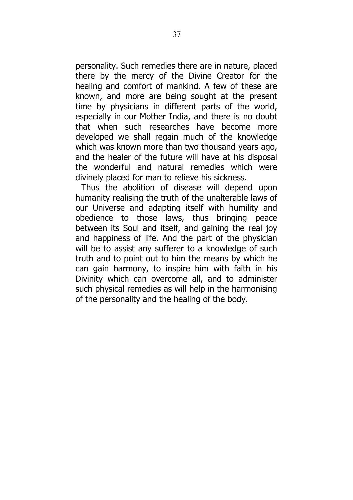personality. Such remedies there are in nature, placed there by the mercy of the Divine Creator for the healing and comfort of mankind. A few of these are known, and more are being sought at the present time by physicians in different parts of the world, especially in our Mother India, and there is no doubt that when such researches have become more developed we shall regain much of the knowledge which was known more than two thousand years ago, and the healer of the future will have at his disposal the wonderful and natural remedies which were divinely placed for man to relieve his sickness.

Thus the abolition of disease will depend upon humanity realising the truth of the unalterable laws of our Universe and adapting itself with humility and obedience to those laws, thus bringing peace between its Soul and itself, and gaining the real joy and happiness of life. And the part of the physician will be to assist any sufferer to a knowledge of such truth and to point out to him the means by which he can gain harmony, to inspire him with faith in his Divinity which can overcome all, and to administer such physical remedies as will help in the harmonising of the personality and the healing of the body.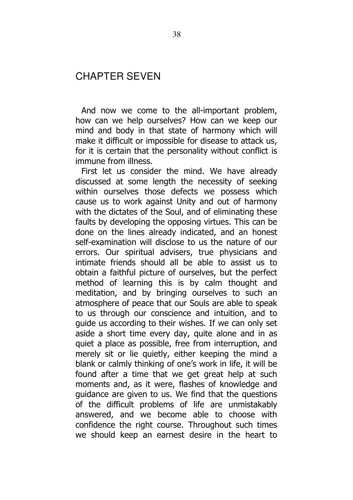#### CHAPTER SEVEN

And now we come to the all-important problem, how can we help ourselves? How can we keep our mind and body in that state of harmony which will make it difficult or impossible for disease to attack us, for it is certain that the personality without conflict is immune from illness.

First let us consider the mind. We have already discussed at some length the necessity of seeking within ourselves those defects we possess which cause us to work against Unity and out of harmony with the dictates of the Soul, and of eliminating these faults by developing the opposing virtues. This can be done on the lines already indicated, and an honest self-examination will disclose to us the nature of our errors. Our spiritual advisers, true physicians and intimate friends should all be able to assist us to obtain a faithful picture of ourselves, but the perfect method of learning this is by calm thought and meditation, and by bringing ourselves to such an atmosphere of peace that our Souls are able to speak to us through our conscience and intuition, and to guide us according to their wishes. If we can only set aside a short time every day, quite alone and in as quiet a place as possible, free from interruption, and merely sit or lie quietly, either keeping the mind a blank or calmly thinking of one's work in life, it will be found after a time that we get great help at such moments and, as it were, flashes of knowledge and guidance are given to us. We find that the questions of the difficult problems of life are unmistakably answered, and we become able to choose with confidence the right course. Throughout such times we should keep an earnest desire in the heart to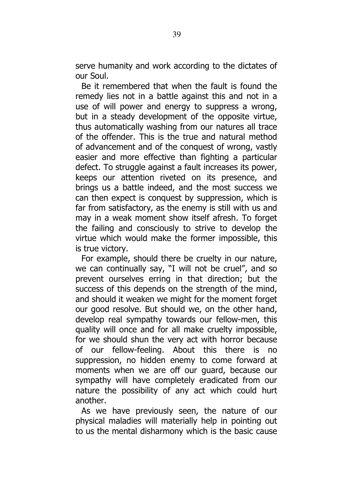serve humanity and work according to the dictates of our Soul.

Be it remembered that when the fault is found the remedy lies not in a battle against this and not in a use of will power and energy to suppress a wrong, but in a steady development of the opposite virtue, thus automatically washing from our natures all trace of the offender. This is the true and natural method of advancement and of the conquest of wrong, vastly easier and more effective than fighting a particular defect. To struggle against a fault increases its power, keeps our attention riveted on its presence, and brings us a battle indeed, and the most success we can then expect is conquest by suppression, which is far from satisfactory, as the enemy is still with us and may in a weak moment show itself afresh. To forget the failing and consciously to strive to develop the virtue which would make the former impossible, this is true victory.

For example, should there be cruelty in our nature, we can continually say, "I will not be cruel", and so prevent ourselves erring in that direction; but the success of this depends on the strength of the mind, and should it weaken we might for the moment forget our good resolve. But should we, on the other hand, develop real sympathy towards our fellow-men, this quality will once and for all make cruelty impossible, for we should shun the very act with horror because of our fellow-feeling. About this there is no suppression, no hidden enemy to come forward at moments when we are off our guard, because our sympathy will have completely eradicated from our nature the possibility of any act which could hurt another.

As we have previously seen, the nature of our physical maladies will materially help in pointing out to us the mental disharmony which is the basic cause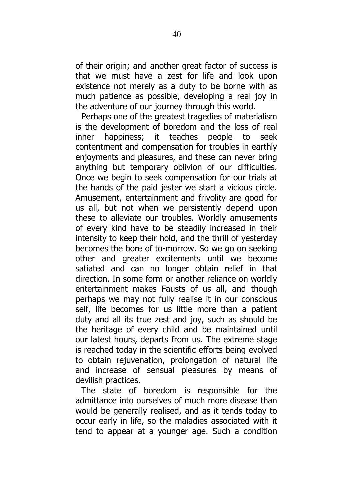of their origin; and another great factor of success is that we must have a zest for life and look upon existence not merely as a duty to be borne with as much patience as possible, developing a real joy in the adventure of our journey through this world.

Perhaps one of the greatest tragedies of materialism is the development of boredom and the loss of real inner happiness; it teaches people to seek contentment and compensation for troubles in earthly enjoyments and pleasures, and these can never bring anything but temporary oblivion of our difficulties. Once we begin to seek compensation for our trials at the hands of the paid jester we start a vicious circle. Amusement, entertainment and frivolity are good for us all, but not when we persistently depend upon these to alleviate our troubles. Worldly amusements of every kind have to be steadily increased in their intensity to keep their hold, and the thrill of yesterday becomes the bore of to-morrow. So we go on seeking other and greater excitements until we become satiated and can no longer obtain relief in that direction. In some form or another reliance on worldly entertainment makes Fausts of us all, and though perhaps we may not fully realise it in our conscious self, life becomes for us little more than a patient duty and all its true zest and joy, such as should be the heritage of every child and be maintained until our latest hours, departs from us. The extreme stage is reached today in the scientific efforts being evolved to obtain rejuvenation, prolongation of natural life and increase of sensual pleasures by means of devilish practices.

The state of boredom is responsible for the admittance into ourselves of much more disease than would be generally realised, and as it tends today to occur early in life, so the maladies associated with it tend to appear at a younger age. Such a condition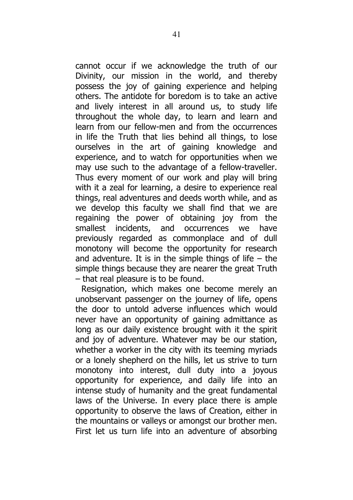cannot occur if we acknowledge the truth of our Divinity, our mission in the world, and thereby possess the joy of gaining experience and helping others. The antidote for boredom is to take an active and lively interest in all around us, to study life throughout the whole day, to learn and learn and learn from our fellow-men and from the occurrences in life the Truth that lies behind all things, to lose ourselves in the art of gaining knowledge and experience, and to watch for opportunities when we may use such to the advantage of a fellow-traveller. Thus every moment of our work and play will bring with it a zeal for learning, a desire to experience real things, real adventures and deeds worth while, and as we develop this faculty we shall find that we are regaining the power of obtaining joy from the smallest incidents, and occurrences we have previously regarded as commonplace and of dull monotony will become the opportunity for research and adventure. It is in the simple things of life  $-$  the simple things because they are nearer the great Truth – that real pleasure is to be found.

Resignation, which makes one become merely an unobservant passenger on the journey of life, opens the door to untold adverse influences which would never have an opportunity of gaining admittance as long as our daily existence brought with it the spirit and joy of adventure. Whatever may be our station, whether a worker in the city with its teeming myriads or a lonely shepherd on the hills, let us strive to turn monotony into interest, dull duty into a joyous opportunity for experience, and daily life into an intense study of humanity and the great fundamental laws of the Universe. In every place there is ample opportunity to observe the laws of Creation, either in the mountains or valleys or amongst our brother men. First let us turn life into an adventure of absorbing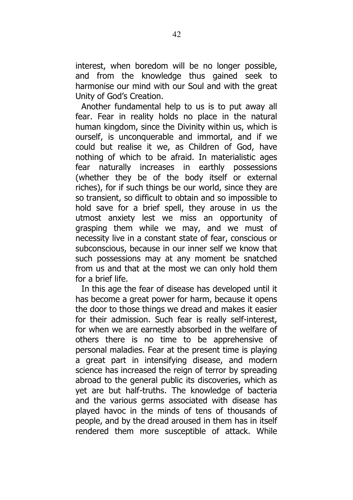interest, when boredom will be no longer possible, and from the knowledge thus gained seek to harmonise our mind with our Soul and with the great Unity of God's Creation.

Another fundamental help to us is to put away all fear. Fear in reality holds no place in the natural human kingdom, since the Divinity within us, which is ourself, is unconquerable and immortal, and if we could but realise it we, as Children of God, have nothing of which to be afraid. In materialistic ages fear naturally increases in earthly possessions (whether they be of the body itself or external riches), for if such things be our world, since they are so transient, so difficult to obtain and so impossible to hold save for a brief spell, they arouse in us the utmost anxiety lest we miss an opportunity of grasping them while we may, and we must of necessity live in a constant state of fear, conscious or subconscious, because in our inner self we know that such possessions may at any moment be snatched from us and that at the most we can only hold them for a brief life.

In this age the fear of disease has developed until it has become a great power for harm, because it opens the door to those things we dread and makes it easier for their admission. Such fear is really self-interest, for when we are earnestly absorbed in the welfare of others there is no time to be apprehensive of personal maladies. Fear at the present time is playing a great part in intensifying disease, and modern science has increased the reign of terror by spreading abroad to the general public its discoveries, which as yet are but half-truths. The knowledge of bacteria and the various germs associated with disease has played havoc in the minds of tens of thousands of people, and by the dread aroused in them has in itself rendered them more susceptible of attack. While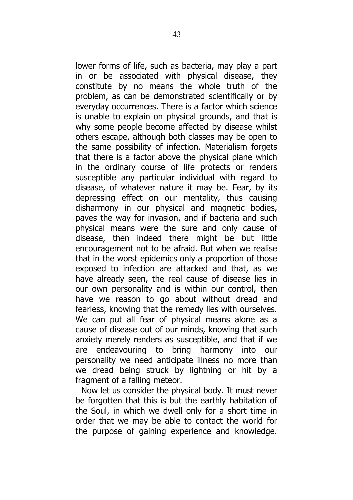lower forms of life, such as bacteria, may play a part in or be associated with physical disease, they constitute by no means the whole truth of the problem, as can be demonstrated scientifically or by everyday occurrences. There is a factor which science is unable to explain on physical grounds, and that is why some people become affected by disease whilst others escape, although both classes may be open to the same possibility of infection. Materialism forgets that there is a factor above the physical plane which in the ordinary course of life protects or renders susceptible any particular individual with regard to disease, of whatever nature it may be. Fear, by its depressing effect on our mentality, thus causing disharmony in our physical and magnetic bodies, paves the way for invasion, and if bacteria and such physical means were the sure and only cause of disease, then indeed there might be but little encouragement not to be afraid. But when we realise that in the worst epidemics only a proportion of those exposed to infection are attacked and that, as we have already seen, the real cause of disease lies in our own personality and is within our control, then have we reason to go about without dread and fearless, knowing that the remedy lies with ourselves. We can put all fear of physical means alone as a cause of disease out of our minds, knowing that such anxiety merely renders as susceptible, and that if we are endeavouring to bring harmony into our personality we need anticipate illness no more than we dread being struck by lightning or hit by a fragment of a falling meteor.

Now let us consider the physical body. It must never be forgotten that this is but the earthly habitation of the Soul, in which we dwell only for a short time in order that we may be able to contact the world for the purpose of gaining experience and knowledge.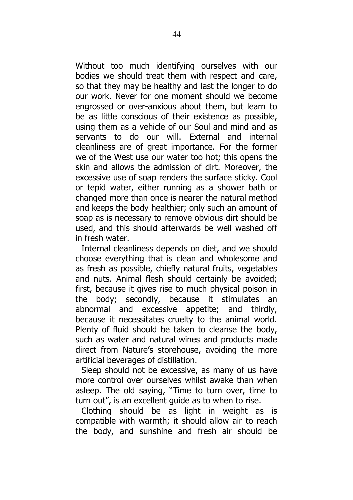Without too much identifying ourselves with our bodies we should treat them with respect and care, so that they may be healthy and last the longer to do our work. Never for one moment should we become engrossed or over-anxious about them, but learn to be as little conscious of their existence as possible, using them as a vehicle of our Soul and mind and as servants to do our will. External and internal cleanliness are of great importance. For the former we of the West use our water too hot; this opens the skin and allows the admission of dirt. Moreover, the excessive use of soap renders the surface sticky. Cool or tepid water, either running as a shower bath or changed more than once is nearer the natural method and keeps the body healthier; only such an amount of soap as is necessary to remove obvious dirt should be used, and this should afterwards be well washed off in fresh water.

Internal cleanliness depends on diet, and we should choose everything that is clean and wholesome and as fresh as possible, chiefly natural fruits, vegetables and nuts. Animal flesh should certainly be avoided; first, because it gives rise to much physical poison in the body; secondly, because it stimulates an abnormal and excessive appetite; and thirdly, because it necessitates cruelty to the animal world. Plenty of fluid should be taken to cleanse the body, such as water and natural wines and products made direct from Nature's storehouse, avoiding the more artificial beverages of distillation.

Sleep should not be excessive, as many of us have more control over ourselves whilst awake than when asleep. The old saying, "Time to turn over, time to turn out", is an excellent guide as to when to rise.

Clothing should be as light in weight as is compatible with warmth; it should allow air to reach the body, and sunshine and fresh air should be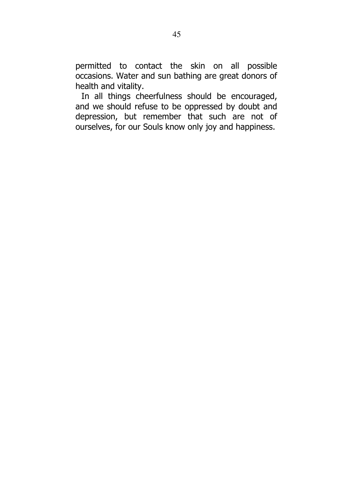permitted to contact the skin on all possible occasions. Water and sun bathing are great donors of health and vitality.

In all things cheerfulness should be encouraged, and we should refuse to be oppressed by doubt and depression, but remember that such are not of ourselves, for our Souls know only joy and happiness.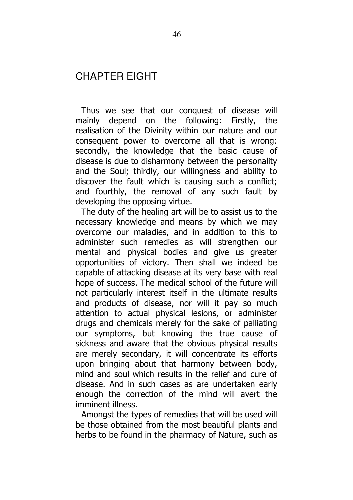#### CHAPTER EIGHT

Thus we see that our conquest of disease will mainly depend on the following: Firstly, the realisation of the Divinity within our nature and our consequent power to overcome all that is wrong: secondly, the knowledge that the basic cause of disease is due to disharmony between the personality and the Soul; thirdly, our willingness and ability to discover the fault which is causing such a conflict; and fourthly, the removal of any such fault by developing the opposing virtue.

The duty of the healing art will be to assist us to the necessary knowledge and means by which we may overcome our maladies, and in addition to this to administer such remedies as will strengthen our mental and physical bodies and give us greater opportunities of victory. Then shall we indeed be capable of attacking disease at its very base with real hope of success. The medical school of the future will not particularly interest itself in the ultimate results and products of disease, nor will it pay so much attention to actual physical lesions, or administer drugs and chemicals merely for the sake of palliating our symptoms, but knowing the true cause of sickness and aware that the obvious physical results are merely secondary, it will concentrate its efforts upon bringing about that harmony between body, mind and soul which results in the relief and cure of disease. And in such cases as are undertaken early enough the correction of the mind will avert the imminent illness.

Amongst the types of remedies that will be used will be those obtained from the most beautiful plants and herbs to be found in the pharmacy of Nature, such as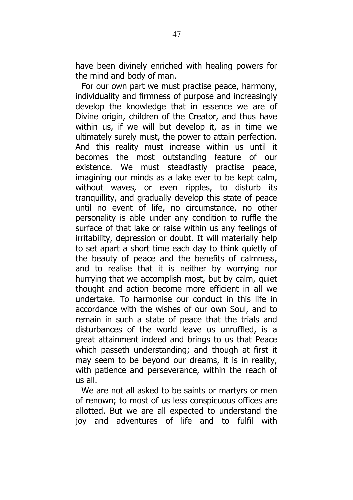have been divinely enriched with healing powers for the mind and body of man.

For our own part we must practise peace, harmony, individuality and firmness of purpose and increasingly develop the knowledge that in essence we are of Divine origin, children of the Creator, and thus have within us, if we will but develop it, as in time we ultimately surely must, the power to attain perfection. And this reality must increase within us until it becomes the most outstanding feature of our existence. We must steadfastly practise peace, imagining our minds as a lake ever to be kept calm, without waves, or even ripples, to disturb its tranquillity, and gradually develop this state of peace until no event of life, no circumstance, no other personality is able under any condition to ruffle the surface of that lake or raise within us any feelings of irritability, depression or doubt. It will materially help to set apart a short time each day to think quietly of the beauty of peace and the benefits of calmness, and to realise that it is neither by worrying nor hurrying that we accomplish most, but by calm, quiet thought and action become more efficient in all we undertake. To harmonise our conduct in this life in accordance with the wishes of our own Soul, and to remain in such a state of peace that the trials and disturbances of the world leave us unruffled, is a great attainment indeed and brings to us that Peace which passeth understanding; and though at first it may seem to be beyond our dreams, it is in reality, with patience and perseverance, within the reach of us all.

We are not all asked to be saints or martyrs or men of renown; to most of us less conspicuous offices are allotted. But we are all expected to understand the joy and adventures of life and to fulfil with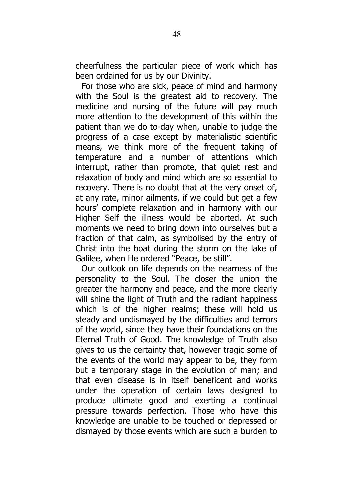cheerfulness the particular piece of work which has been ordained for us by our Divinity.

For those who are sick, peace of mind and harmony with the Soul is the greatest aid to recovery. The medicine and nursing of the future will pay much more attention to the development of this within the patient than we do to-day when, unable to judge the progress of a case except by materialistic scientific means, we think more of the frequent taking of temperature and a number of attentions which interrupt, rather than promote, that quiet rest and relaxation of body and mind which are so essential to recovery. There is no doubt that at the very onset of, at any rate, minor ailments, if we could but get a few hours' complete relaxation and in harmony with our Higher Self the illness would be aborted. At such moments we need to bring down into ourselves but a fraction of that calm, as symbolised by the entry of Christ into the boat during the storm on the lake of Galilee, when He ordered "Peace, be still".

Our outlook on life depends on the nearness of the personality to the Soul. The closer the union the greater the harmony and peace, and the more clearly will shine the light of Truth and the radiant happiness which is of the higher realms; these will hold us steady and undismayed by the difficulties and terrors of the world, since they have their foundations on the Eternal Truth of Good. The knowledge of Truth also gives to us the certainty that, however tragic some of the events of the world may appear to be, they form but a temporary stage in the evolution of man; and that even disease is in itself beneficent and works under the operation of certain laws designed to produce ultimate good and exerting a continual pressure towards perfection. Those who have this knowledge are unable to be touched or depressed or dismayed by those events which are such a burden to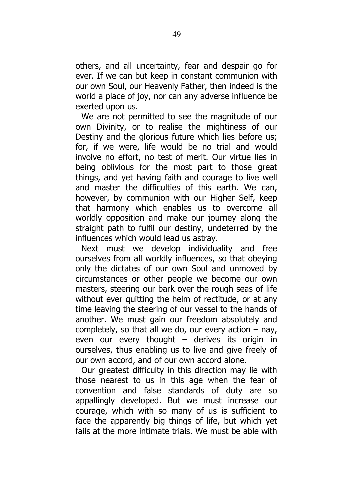others, and all uncertainty, fear and despair go for ever. If we can but keep in constant communion with our own Soul, our Heavenly Father, then indeed is the world a place of joy, nor can any adverse influence be exerted upon us.

We are not permitted to see the magnitude of our own Divinity, or to realise the mightiness of our Destiny and the glorious future which lies before us; for, if we were, life would be no trial and would involve no effort, no test of merit. Our virtue lies in being oblivious for the most part to those great things, and yet having faith and courage to live well and master the difficulties of this earth. We can, however, by communion with our Higher Self, keep that harmony which enables us to overcome all worldly opposition and make our journey along the straight path to fulfil our destiny, undeterred by the influences which would lead us astray.

Next must we develop individuality and free ourselves from all worldly influences, so that obeying only the dictates of our own Soul and unmoved by circumstances or other people we become our own masters, steering our bark over the rough seas of life without ever quitting the helm of rectitude, or at any time leaving the steering of our vessel to the hands of another. We must gain our freedom absolutely and completely, so that all we do, our every action  $-$  nay, even our every thought – derives its origin in ourselves, thus enabling us to live and give freely of our own accord, and of our own accord alone.

Our greatest difficulty in this direction may lie with those nearest to us in this age when the fear of convention and false standards of duty are so appallingly developed. But we must increase our courage, which with so many of us is sufficient to face the apparently big things of life, but which yet fails at the more intimate trials. We must be able with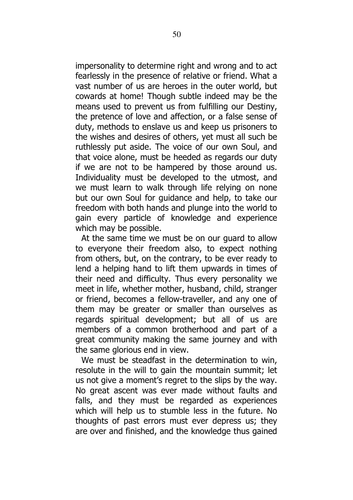impersonality to determine right and wrong and to act fearlessly in the presence of relative or friend. What a vast number of us are heroes in the outer world, but cowards at home! Though subtle indeed may be the means used to prevent us from fulfilling our Destiny, the pretence of love and affection, or a false sense of duty, methods to enslave us and keep us prisoners to the wishes and desires of others, yet must all such be ruthlessly put aside. The voice of our own Soul, and that voice alone, must be heeded as regards our duty if we are not to be hampered by those around us. Individuality must be developed to the utmost, and we must learn to walk through life relying on none but our own Soul for guidance and help, to take our freedom with both hands and plunge into the world to gain every particle of knowledge and experience which may be possible.

At the same time we must be on our guard to allow to everyone their freedom also, to expect nothing from others, but, on the contrary, to be ever ready to lend a helping hand to lift them upwards in times of their need and difficulty. Thus every personality we meet in life, whether mother, husband, child, stranger or friend, becomes a fellow-traveller, and any one of them may be greater or smaller than ourselves as regards spiritual development; but all of us are members of a common brotherhood and part of a great community making the same journey and with the same glorious end in view.

We must be steadfast in the determination to win, resolute in the will to gain the mountain summit; let us not give a moment's regret to the slips by the way. No great ascent was ever made without faults and falls, and they must be regarded as experiences which will help us to stumble less in the future. No thoughts of past errors must ever depress us; they are over and finished, and the knowledge thus gained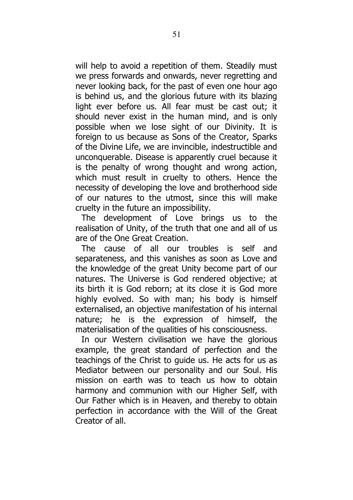will help to avoid a repetition of them. Steadily must we press forwards and onwards, never regretting and never looking back, for the past of even one hour ago is behind us, and the glorious future with its blazing light ever before us. All fear must be cast out; it should never exist in the human mind, and is only possible when we lose sight of our Divinity. It is foreign to us because as Sons of the Creator, Sparks of the Divine Life, we are invincible, indestructible and unconquerable. Disease is apparently cruel because it is the penalty of wrong thought and wrong action, which must result in cruelty to others. Hence the necessity of developing the love and brotherhood side of our natures to the utmost, since this will make cruelty in the future an impossibility.

The development of Love brings us to the realisation of Unity, of the truth that one and all of us are of the One Great Creation.

The cause of all our troubles is self and separateness, and this vanishes as soon as Love and the knowledge of the great Unity become part of our natures. The Universe is God rendered objective; at its birth it is God reborn; at its close it is God more highly evolved. So with man; his body is himself externalised, an objective manifestation of his internal nature; he is the expression of himself, the materialisation of the qualities of his consciousness.

In our Western civilisation we have the glorious example, the great standard of perfection and the teachings of the Christ to guide us. He acts for us as Mediator between our personality and our Soul. His mission on earth was to teach us how to obtain harmony and communion with our Higher Self, with Our Father which is in Heaven, and thereby to obtain perfection in accordance with the Will of the Great Creator of all.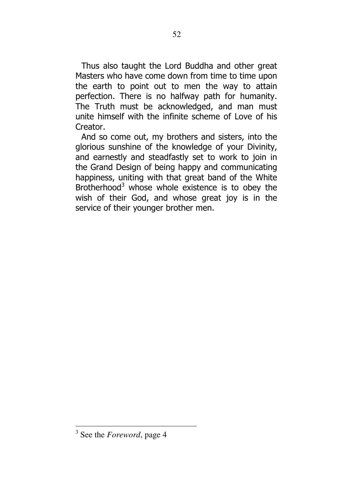Thus also taught the Lord Buddha and other great Masters who have come down from time to time upon the earth to point out to men the way to attain perfection. There is no halfway path for humanity. The Truth must be acknowledged, and man must unite himself with the infinite scheme of Love of his Creator.

And so come out, my brothers and sisters, into the glorious sunshine of the knowledge of your Divinity, and earnestly and steadfastly set to work to join in the Grand Design of being happy and communicating happiness, uniting with that great band of the White Brotherhood<sup>3</sup> whose whole existence is to obey the wish of their God, and whose great joy is in the service of their younger brother men.

 3 See the *Foreword*, page 4